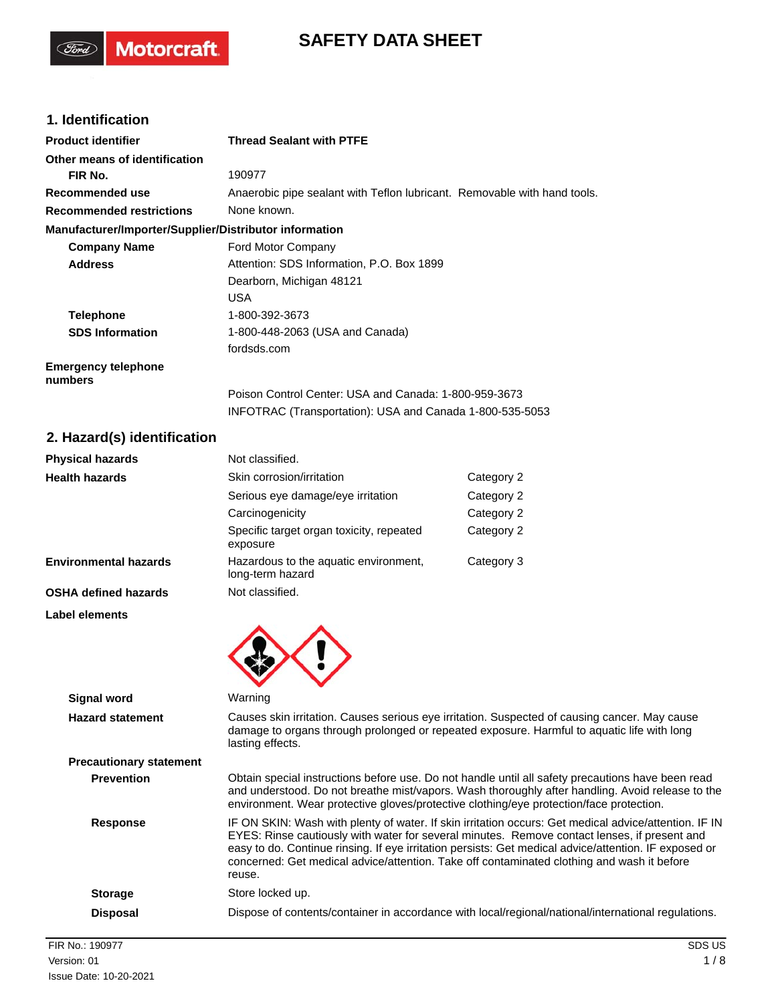# **SAFETY DATA SHEET**

# **1. Identification**

(Ford)

Motorcraft.

| <b>Product identifier</b>                              | <b>Thread Sealant with PTFE</b>                                          |
|--------------------------------------------------------|--------------------------------------------------------------------------|
| Other means of identification                          |                                                                          |
| FIR No.                                                | 190977                                                                   |
| Recommended use                                        | Anaerobic pipe sealant with Teflon lubricant. Removable with hand tools. |
| <b>Recommended restrictions</b>                        | None known.                                                              |
| Manufacturer/Importer/Supplier/Distributor information |                                                                          |
| <b>Company Name</b>                                    | Ford Motor Company                                                       |
| <b>Address</b>                                         | Attention: SDS Information, P.O. Box 1899                                |
|                                                        | Dearborn, Michigan 48121                                                 |
|                                                        | <b>USA</b>                                                               |
| <b>Telephone</b>                                       | 1-800-392-3673                                                           |
| <b>SDS Information</b>                                 | 1-800-448-2063 (USA and Canada)                                          |
|                                                        | fordsds.com                                                              |
| <b>Emergency telephone</b><br>numbers                  |                                                                          |
|                                                        | Poison Control Center: USA and Canada: 1-800-959-3673                    |
|                                                        | INFOTRAC (Transportation): USA and Canada 1-800-535-5053                 |

# **2. Hazard(s) identification**

| <b>Physical hazards</b>      | Not classified.                                           |            |
|------------------------------|-----------------------------------------------------------|------------|
| <b>Health hazards</b>        | Skin corrosion/irritation                                 | Category 2 |
|                              | Serious eye damage/eye irritation                         | Category 2 |
|                              | Carcinogenicity                                           | Category 2 |
|                              | Specific target organ toxicity, repeated<br>exposure      | Category 2 |
| <b>Environmental hazards</b> | Hazardous to the aquatic environment,<br>long-term hazard | Category 3 |
| <b>OSHA defined hazards</b>  | Not classified.                                           |            |
| Label elements               |                                                           |            |



| Signal word                    | Warning                                                                                                                                                                                                                                                                                                                                                                                                                |
|--------------------------------|------------------------------------------------------------------------------------------------------------------------------------------------------------------------------------------------------------------------------------------------------------------------------------------------------------------------------------------------------------------------------------------------------------------------|
| <b>Hazard statement</b>        | Causes skin irritation. Causes serious eye irritation. Suspected of causing cancer. May cause<br>damage to organs through prolonged or repeated exposure. Harmful to aquatic life with long<br>lasting effects.                                                                                                                                                                                                        |
| <b>Precautionary statement</b> |                                                                                                                                                                                                                                                                                                                                                                                                                        |
| <b>Prevention</b>              | Obtain special instructions before use. Do not handle until all safety precautions have been read<br>and understood. Do not breathe mist/vapors. Wash thoroughly after handling. Avoid release to the<br>environment. Wear protective gloves/protective clothing/eye protection/face protection.                                                                                                                       |
| <b>Response</b>                | IF ON SKIN: Wash with plenty of water. If skin irritation occurs: Get medical advice/attention. IF IN<br>EYES: Rinse cautiously with water for several minutes. Remove contact lenses, if present and<br>easy to do. Continue rinsing. If eye irritation persists: Get medical advice/attention. IF exposed or<br>concerned: Get medical advice/attention. Take off contaminated clothing and wash it before<br>reuse. |
| <b>Storage</b>                 | Store locked up.                                                                                                                                                                                                                                                                                                                                                                                                       |
| <b>Disposal</b>                | Dispose of contents/container in accordance with local/regional/national/international regulations.                                                                                                                                                                                                                                                                                                                    |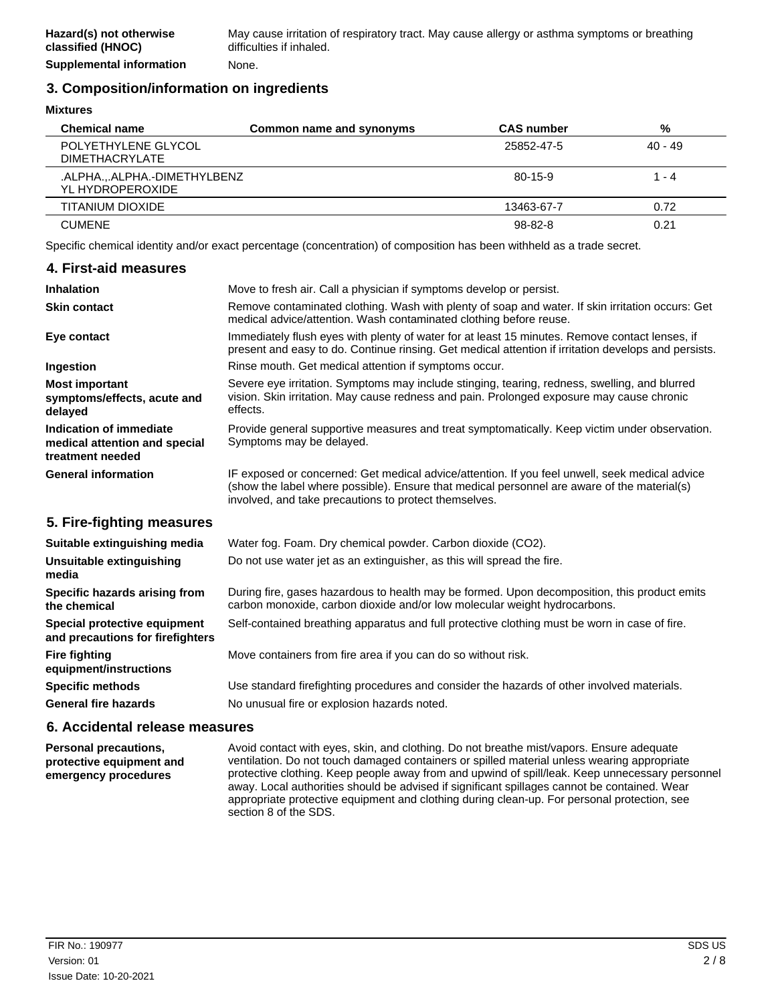# **3. Composition/information on ingredients**

**Mixtures**

| <b>Chemical name</b>                          | Common name and synonyms | <b>CAS number</b> | %         |
|-----------------------------------------------|--------------------------|-------------------|-----------|
| POLYETHYLENE GLYCOL<br><b>DIMETHACRYLATE</b>  |                          | 25852-47-5        | $40 - 49$ |
| .ALPHAALPHA.-DIMETHYLBENZ<br>YL HYDROPEROXIDE |                          | 80-15-9           | 1 - 4     |
| TITANIUM DIOXIDE                              |                          | 13463-67-7        | 0.72      |
| <b>CUMENE</b>                                 |                          | $98 - 82 - 8$     | 0.21      |

Specific chemical identity and/or exact percentage (concentration) of composition has been withheld as a trade secret.

#### **4. First-aid measures Inhalation** Move to fresh air. Call a physician if symptoms develop or persist. Remove contaminated clothing. Wash with plenty of soap and water. If skin irritation occurs: Get medical advice/attention. Wash contaminated clothing before reuse. **Skin contact** Immediately flush eyes with plenty of water for at least 15 minutes. Remove contact lenses, if present and easy to do. Continue rinsing. Get medical attention if irritation develops and persists. **Eye contact Ingestion Rinse mouth. Get medical attention if symptoms occur.** Severe eye irritation. Symptoms may include stinging, tearing, redness, swelling, and blurred vision. Skin irritation. May cause redness and pain. Prolonged exposure may cause chronic effects. **Most important symptoms/effects, acute and delayed** Provide general supportive measures and treat symptomatically. Keep victim under observation. Symptoms may be delayed. **Indication of immediate medical attention and special treatment needed** IF exposed or concerned: Get medical advice/attention. If you feel unwell, seek medical advice (show the label where possible). Ensure that medical personnel are aware of the material(s) involved, and take precautions to protect themselves. **General information 5. Fire-fighting measures Suitable extinguishing media** Water fog. Foam. Dry chemical powder. Carbon dioxide (CO2). **Unsuitable extinguishing** Do not use water jet as an extinguisher, as this will spread the fire. **media** During fire, gases hazardous to health may be formed. Upon decomposition, this product emits carbon monoxide, carbon dioxide and/or low molecular weight hydrocarbons. **Specific hazards arising from the chemical Special protective equipment** Self-contained breathing apparatus and full protective clothing must be worn in case of fire. **and precautions for firefighters Fire fighting** Move containers from fire area if you can do so without risk. **equipment/instructions Specific methods** Use standard firefighting procedures and consider the hazards of other involved materials.

General fire hazards **No unusual fire or explosion hazards noted.** 

#### **6. Accidental release measures**

Avoid contact with eyes, skin, and clothing. Do not breathe mist/vapors. Ensure adequate ventilation. Do not touch damaged containers or spilled material unless wearing appropriate protective clothing. Keep people away from and upwind of spill/leak. Keep unnecessary personnel away. Local authorities should be advised if significant spillages cannot be contained. Wear appropriate protective equipment and clothing during clean-up. For personal protection, see section 8 of the SDS. **Personal precautions, protective equipment and emergency procedures**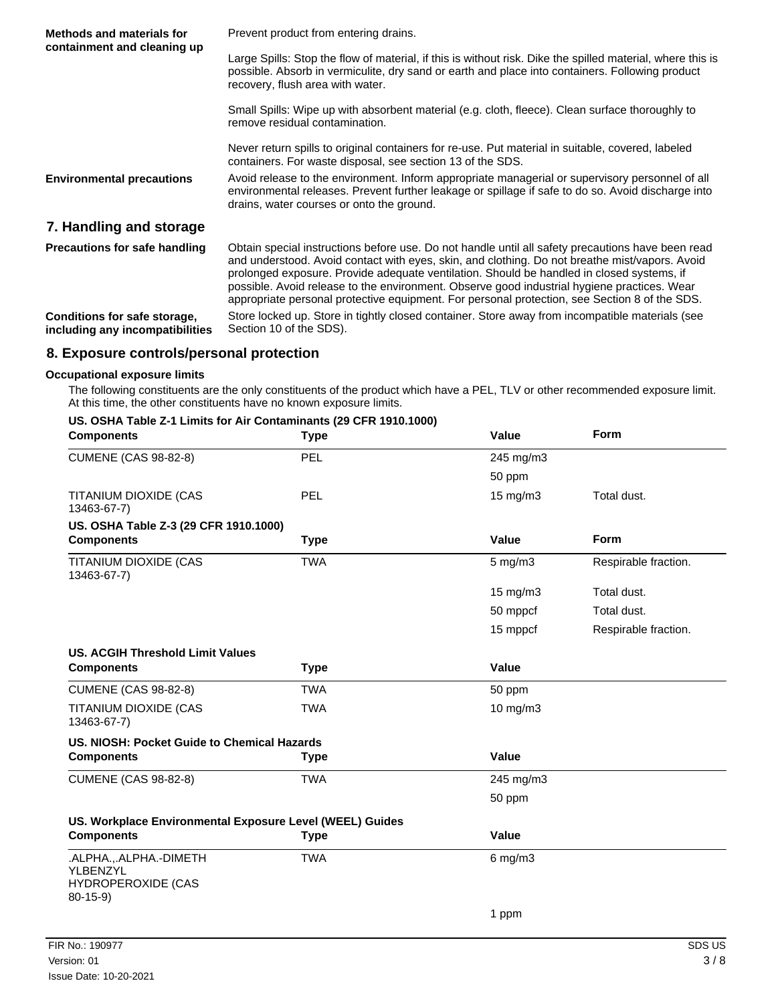| <b>Methods and materials for</b>                                | Prevent product from entering drains.                                                                                                                                                                                                                                                                                                                                                                                                                                                            |  |
|-----------------------------------------------------------------|--------------------------------------------------------------------------------------------------------------------------------------------------------------------------------------------------------------------------------------------------------------------------------------------------------------------------------------------------------------------------------------------------------------------------------------------------------------------------------------------------|--|
| containment and cleaning up                                     | Large Spills: Stop the flow of material, if this is without risk. Dike the spilled material, where this is<br>possible. Absorb in vermiculite, dry sand or earth and place into containers. Following product<br>recovery, flush area with water.                                                                                                                                                                                                                                                |  |
|                                                                 | Small Spills: Wipe up with absorbent material (e.g. cloth, fleece). Clean surface thoroughly to<br>remove residual contamination.                                                                                                                                                                                                                                                                                                                                                                |  |
|                                                                 | Never return spills to original containers for re-use. Put material in suitable, covered, labeled<br>containers. For waste disposal, see section 13 of the SDS.                                                                                                                                                                                                                                                                                                                                  |  |
| <b>Environmental precautions</b>                                | Avoid release to the environment. Inform appropriate managerial or supervisory personnel of all<br>environmental releases. Prevent further leakage or spillage if safe to do so. Avoid discharge into<br>drains, water courses or onto the ground.                                                                                                                                                                                                                                               |  |
| 7. Handling and storage                                         |                                                                                                                                                                                                                                                                                                                                                                                                                                                                                                  |  |
| <b>Precautions for safe handling</b>                            | Obtain special instructions before use. Do not handle until all safety precautions have been read<br>and understood. Avoid contact with eyes, skin, and clothing. Do not breathe mist/vapors. Avoid<br>prolonged exposure. Provide adequate ventilation. Should be handled in closed systems, if<br>possible. Avoid release to the environment. Observe good industrial hygiene practices. Wear<br>appropriate personal protective equipment. For personal protection, see Section 8 of the SDS. |  |
| Conditions for safe storage,<br>including any incompatibilities | Store locked up. Store in tightly closed container. Store away from incompatible materials (see<br>Section 10 of the SDS).                                                                                                                                                                                                                                                                                                                                                                       |  |

# **8. Exposure controls/personal protection**

#### **Occupational exposure limits**

The following constituents are the only constituents of the product which have a PEL, TLV or other recommended exposure limit. At this time, the other constituents have no known exposure limits.

#### **US. OSHA Table Z-1 Limits for Air Contaminants (29 CFR 1910.1000)**

| <b>Components</b>                                                            | <b>Type</b> | Value        | Form                 |
|------------------------------------------------------------------------------|-------------|--------------|----------------------|
| <b>CUMENE (CAS 98-82-8)</b>                                                  | PEL         | 245 mg/m3    |                      |
|                                                                              |             | 50 ppm       |                      |
| TITANIUM DIOXIDE (CAS<br>13463-67-7)                                         | PEL         | 15 mg/m3     | Total dust.          |
| US. OSHA Table Z-3 (29 CFR 1910.1000)                                        |             |              |                      |
| <b>Components</b>                                                            | <b>Type</b> | Value        | <b>Form</b>          |
| TITANIUM DIOXIDE (CAS<br>13463-67-7)                                         | <b>TWA</b>  | $5$ mg/m $3$ | Respirable fraction. |
|                                                                              |             | 15 mg/m3     | Total dust.          |
|                                                                              |             | 50 mppcf     | Total dust.          |
|                                                                              |             | 15 mppcf     | Respirable fraction. |
| <b>US. ACGIH Threshold Limit Values</b>                                      |             |              |                      |
| <b>Components</b>                                                            | <b>Type</b> | Value        |                      |
| <b>CUMENE (CAS 98-82-8)</b>                                                  | <b>TWA</b>  | 50 ppm       |                      |
| TITANIUM DIOXIDE (CAS<br>13463-67-7)                                         | <b>TWA</b>  | 10 mg/m3     |                      |
| US. NIOSH: Pocket Guide to Chemical Hazards                                  |             |              |                      |
| <b>Components</b>                                                            | <b>Type</b> | Value        |                      |
| <b>CUMENE (CAS 98-82-8)</b>                                                  | <b>TWA</b>  | 245 mg/m3    |                      |
|                                                                              |             | 50 ppm       |                      |
| US. Workplace Environmental Exposure Level (WEEL) Guides                     |             |              |                      |
| <b>Components</b>                                                            | <b>Type</b> | Value        |                      |
| .ALPHA.,.ALPHA.-DIMETH<br>YLBENZYL<br><b>HYDROPEROXIDE (CAS</b><br>$80-15-9$ | <b>TWA</b>  | $6$ mg/m $3$ |                      |
|                                                                              |             | 1 ppm        |                      |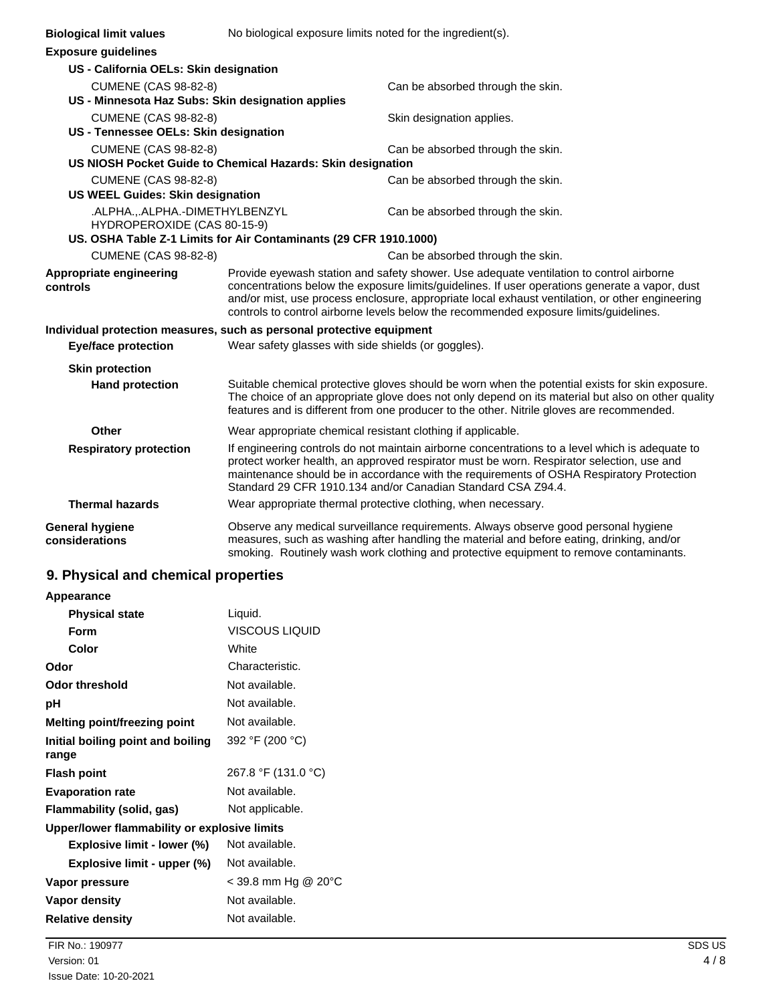| <b>Biological limit values</b>                                        | No biological exposure limits noted for the ingredient(s).        |                                                                                                                                                                                                                                                                                                                                                          |
|-----------------------------------------------------------------------|-------------------------------------------------------------------|----------------------------------------------------------------------------------------------------------------------------------------------------------------------------------------------------------------------------------------------------------------------------------------------------------------------------------------------------------|
| <b>Exposure guidelines</b>                                            |                                                                   |                                                                                                                                                                                                                                                                                                                                                          |
| US - California OELs: Skin designation                                |                                                                   |                                                                                                                                                                                                                                                                                                                                                          |
| <b>CUMENE (CAS 98-82-8)</b>                                           |                                                                   | Can be absorbed through the skin.                                                                                                                                                                                                                                                                                                                        |
| US - Minnesota Haz Subs: Skin designation applies                     |                                                                   |                                                                                                                                                                                                                                                                                                                                                          |
| <b>CUMENE (CAS 98-82-8)</b>                                           |                                                                   | Skin designation applies.                                                                                                                                                                                                                                                                                                                                |
| US - Tennessee OELs: Skin designation                                 |                                                                   |                                                                                                                                                                                                                                                                                                                                                          |
| <b>CUMENE (CAS 98-82-8)</b>                                           |                                                                   | Can be absorbed through the skin.                                                                                                                                                                                                                                                                                                                        |
|                                                                       | US NIOSH Pocket Guide to Chemical Hazards: Skin designation       |                                                                                                                                                                                                                                                                                                                                                          |
| <b>CUMENE (CAS 98-82-8)</b>                                           |                                                                   | Can be absorbed through the skin.                                                                                                                                                                                                                                                                                                                        |
| <b>US WEEL Guides: Skin designation</b>                               |                                                                   |                                                                                                                                                                                                                                                                                                                                                          |
| .ALPHA.,.ALPHA.-DIMETHYLBENZYL<br>HYDROPEROXIDE (CAS 80-15-9)         |                                                                   | Can be absorbed through the skin.                                                                                                                                                                                                                                                                                                                        |
|                                                                       | US. OSHA Table Z-1 Limits for Air Contaminants (29 CFR 1910.1000) |                                                                                                                                                                                                                                                                                                                                                          |
| <b>CUMENE (CAS 98-82-8)</b>                                           |                                                                   | Can be absorbed through the skin.                                                                                                                                                                                                                                                                                                                        |
| Appropriate engineering                                               |                                                                   | Provide eyewash station and safety shower. Use adequate ventilation to control airborne                                                                                                                                                                                                                                                                  |
| controls                                                              |                                                                   | concentrations below the exposure limits/guidelines. If user operations generate a vapor, dust<br>and/or mist, use process enclosure, appropriate local exhaust ventilation, or other engineering<br>controls to control airborne levels below the recommended exposure limits/guidelines.                                                               |
| Individual protection measures, such as personal protective equipment |                                                                   |                                                                                                                                                                                                                                                                                                                                                          |
| <b>Eye/face protection</b>                                            | Wear safety glasses with side shields (or goggles).               |                                                                                                                                                                                                                                                                                                                                                          |
| <b>Skin protection</b>                                                |                                                                   |                                                                                                                                                                                                                                                                                                                                                          |
| <b>Hand protection</b>                                                |                                                                   | Suitable chemical protective gloves should be worn when the potential exists for skin exposure.<br>The choice of an appropriate glove does not only depend on its material but also on other quality<br>features and is different from one producer to the other. Nitrile gloves are recommended.                                                        |
| Other                                                                 | Wear appropriate chemical resistant clothing if applicable.       |                                                                                                                                                                                                                                                                                                                                                          |
| <b>Respiratory protection</b>                                         |                                                                   | If engineering controls do not maintain airborne concentrations to a level which is adequate to<br>protect worker health, an approved respirator must be worn. Respirator selection, use and<br>maintenance should be in accordance with the requirements of OSHA Respiratory Protection<br>Standard 29 CFR 1910.134 and/or Canadian Standard CSA Z94.4. |
| <b>Thermal hazards</b>                                                |                                                                   | Wear appropriate thermal protective clothing, when necessary.                                                                                                                                                                                                                                                                                            |
| General hygiene<br>considerations                                     |                                                                   | Observe any medical surveillance requirements. Always observe good personal hygiene<br>measures, such as washing after handling the material and before eating, drinking, and/or<br>smoking. Routinely wash work clothing and protective equipment to remove contaminants.                                                                               |

# **9. Physical and chemical properties**

| Appearance |  |
|------------|--|
|            |  |

| <b>Physical state</b>                        | Liquid.             |
|----------------------------------------------|---------------------|
| Form                                         | VISCOUS LIQUID      |
| Color                                        | White               |
| Odor                                         | Characteristic.     |
| Odor threshold                               | Not available.      |
| рH                                           | Not available.      |
| Melting point/freezing point                 | Not available.      |
| Initial boiling point and boiling<br>range   | 392 °F (200 °C)     |
| <b>Flash point</b>                           | 267.8 °F (131.0 °C) |
| <b>Evaporation rate</b>                      | Not available.      |
| Flammability (solid, gas)                    | Not applicable.     |
| Upper/lower flammability or explosive limits |                     |
| Explosive limit - lower (%)                  | Not available.      |
| Explosive limit - upper (%)                  | Not available.      |
| Vapor pressure                               | < 39.8 mm Hg @ 20°C |
| Vapor density                                | Not available.      |
| <b>Relative density</b>                      | Not available.      |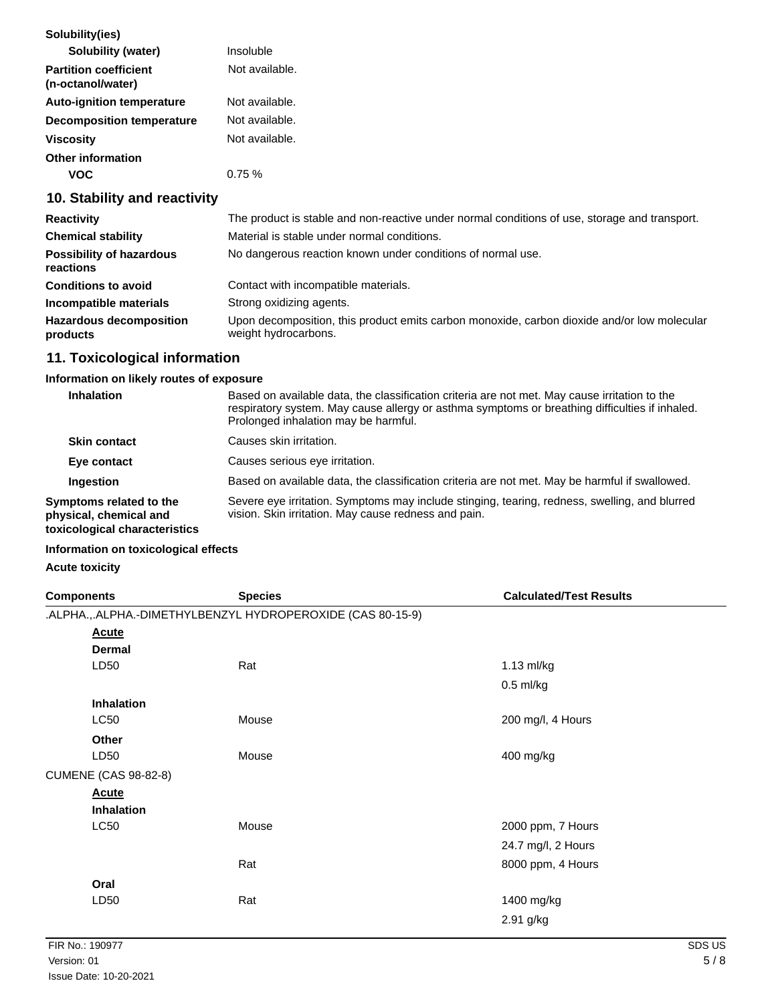| Solubility(ies)                                   |                |
|---------------------------------------------------|----------------|
| Solubility (water)                                | Insoluble      |
| <b>Partition coefficient</b><br>(n-octanol/water) | Not available. |
| <b>Auto-ignition temperature</b>                  | Not available. |
| <b>Decomposition temperature</b>                  | Not available. |
| <b>Viscosity</b>                                  | Not available. |
| Other information                                 |                |
|                                                   | $0.75 \%$      |

# **10. Stability and reactivity**

| <b>Reactivity</b>                            | The product is stable and non-reactive under normal conditions of use, storage and transport.                       |
|----------------------------------------------|---------------------------------------------------------------------------------------------------------------------|
| <b>Chemical stability</b>                    | Material is stable under normal conditions.                                                                         |
| <b>Possibility of hazardous</b><br>reactions | No dangerous reaction known under conditions of normal use.                                                         |
| <b>Conditions to avoid</b>                   | Contact with incompatible materials.                                                                                |
| Incompatible materials                       | Strong oxidizing agents.                                                                                            |
| <b>Hazardous decomposition</b><br>products   | Upon decomposition, this product emits carbon monoxide, carbon dioxide and/or low molecular<br>weight hydrocarbons. |

# **11. Toxicological information**

## **Information on likely routes of exposure**

| Inhalation                                                                         | Based on available data, the classification criteria are not met. May cause irritation to the<br>respiratory system. May cause allergy or asthma symptoms or breathing difficulties if inhaled.<br>Prolonged inhalation may be harmful. |
|------------------------------------------------------------------------------------|-----------------------------------------------------------------------------------------------------------------------------------------------------------------------------------------------------------------------------------------|
| <b>Skin contact</b>                                                                | Causes skin irritation.                                                                                                                                                                                                                 |
| Eye contact                                                                        | Causes serious eye irritation.                                                                                                                                                                                                          |
| Ingestion                                                                          | Based on available data, the classification criteria are not met. May be harmful if swallowed.                                                                                                                                          |
| Symptoms related to the<br>physical, chemical and<br>toxicological characteristics | Severe eye irritation. Symptoms may include stinging, tearing, redness, swelling, and blurred<br>vision. Skin irritation. May cause redness and pain.                                                                                   |

## **Information on toxicological effects**

# **Acute toxicity**

| <b>Components</b>           | <b>Species</b>                                             | <b>Calculated/Test Results</b> |
|-----------------------------|------------------------------------------------------------|--------------------------------|
|                             | .ALPHA.,.ALPHA.-DIMETHYLBENZYL HYDROPEROXIDE (CAS 80-15-9) |                                |
| <b>Acute</b>                |                                                            |                                |
| <b>Dermal</b>               |                                                            |                                |
| LD50                        | Rat                                                        | 1.13 ml/kg                     |
|                             |                                                            | $0.5$ ml/kg                    |
| <b>Inhalation</b>           |                                                            |                                |
| <b>LC50</b>                 | Mouse                                                      | 200 mg/l, 4 Hours              |
| Other                       |                                                            |                                |
| LD50                        | Mouse                                                      | 400 mg/kg                      |
| <b>CUMENE (CAS 98-82-8)</b> |                                                            |                                |
| <b>Acute</b>                |                                                            |                                |
| Inhalation                  |                                                            |                                |
| <b>LC50</b>                 | Mouse                                                      | 2000 ppm, 7 Hours              |
|                             |                                                            | 24.7 mg/l, 2 Hours             |
|                             | Rat                                                        | 8000 ppm, 4 Hours              |
| Oral                        |                                                            |                                |
| LD50                        | Rat                                                        | 1400 mg/kg                     |
|                             |                                                            | 2.91 g/kg                      |
|                             |                                                            |                                |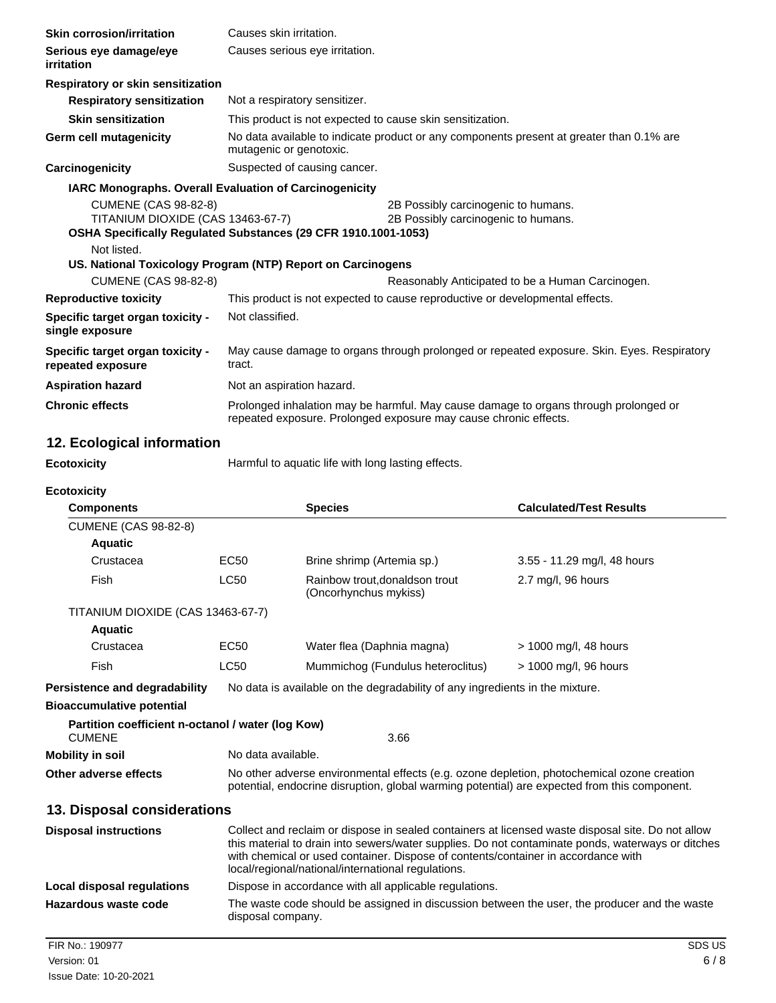| <b>Skin corrosion/irritation</b>                                                                                                                  | Causes skin irritation.                                                                                                                                  |                                                         |                                                                              |                                                  |
|---------------------------------------------------------------------------------------------------------------------------------------------------|----------------------------------------------------------------------------------------------------------------------------------------------------------|---------------------------------------------------------|------------------------------------------------------------------------------|--------------------------------------------------|
| Serious eye damage/eye<br>irritation                                                                                                              | Causes serious eye irritation.                                                                                                                           |                                                         |                                                                              |                                                  |
| Respiratory or skin sensitization                                                                                                                 |                                                                                                                                                          |                                                         |                                                                              |                                                  |
| <b>Respiratory sensitization</b>                                                                                                                  | Not a respiratory sensitizer.                                                                                                                            |                                                         |                                                                              |                                                  |
| <b>Skin sensitization</b>                                                                                                                         |                                                                                                                                                          |                                                         | This product is not expected to cause skin sensitization.                    |                                                  |
| <b>Germ cell mutagenicity</b>                                                                                                                     | No data available to indicate product or any components present at greater than 0.1% are<br>mutagenic or genotoxic.                                      |                                                         |                                                                              |                                                  |
| Carcinogenicity                                                                                                                                   | Suspected of causing cancer.                                                                                                                             |                                                         |                                                                              |                                                  |
| IARC Monographs. Overall Evaluation of Carcinogenicity                                                                                            |                                                                                                                                                          |                                                         |                                                                              |                                                  |
| <b>CUMENE (CAS 98-82-8)</b><br>TITANIUM DIOXIDE (CAS 13463-67-7)<br>OSHA Specifically Regulated Substances (29 CFR 1910.1001-1053)<br>Not listed. |                                                                                                                                                          |                                                         | 2B Possibly carcinogenic to humans.<br>2B Possibly carcinogenic to humans.   |                                                  |
| US. National Toxicology Program (NTP) Report on Carcinogens                                                                                       |                                                                                                                                                          |                                                         |                                                                              |                                                  |
| <b>CUMENE (CAS 98-82-8)</b>                                                                                                                       |                                                                                                                                                          |                                                         |                                                                              | Reasonably Anticipated to be a Human Carcinogen. |
| <b>Reproductive toxicity</b>                                                                                                                      |                                                                                                                                                          |                                                         | This product is not expected to cause reproductive or developmental effects. |                                                  |
| Specific target organ toxicity -<br>single exposure                                                                                               | Not classified.                                                                                                                                          |                                                         |                                                                              |                                                  |
| Specific target organ toxicity -<br>repeated exposure                                                                                             | May cause damage to organs through prolonged or repeated exposure. Skin. Eyes. Respiratory<br>tract.                                                     |                                                         |                                                                              |                                                  |
| <b>Aspiration hazard</b>                                                                                                                          | Not an aspiration hazard.                                                                                                                                |                                                         |                                                                              |                                                  |
| <b>Chronic effects</b>                                                                                                                            | Prolonged inhalation may be harmful. May cause damage to organs through prolonged or<br>repeated exposure. Prolonged exposure may cause chronic effects. |                                                         |                                                                              |                                                  |
| 12. Ecological information                                                                                                                        |                                                                                                                                                          |                                                         |                                                                              |                                                  |
| <b>Ecotoxicity</b>                                                                                                                                |                                                                                                                                                          | Harmful to aquatic life with long lasting effects.      |                                                                              |                                                  |
| <b>Ecotoxicity</b>                                                                                                                                |                                                                                                                                                          |                                                         |                                                                              |                                                  |
| <b>Components</b>                                                                                                                                 |                                                                                                                                                          | <b>Species</b>                                          |                                                                              | <b>Calculated/Test Results</b>                   |
| <b>CUMENE (CAS 98-82-8)</b><br><b>Aquatic</b>                                                                                                     |                                                                                                                                                          |                                                         |                                                                              |                                                  |
| Crustacea                                                                                                                                         | <b>EC50</b>                                                                                                                                              | Brine shrimp (Artemia sp.)                              |                                                                              | 3.55 - 11.29 mg/l, 48 hours                      |
| Fish                                                                                                                                              | LC50                                                                                                                                                     | Rainbow trout, donaldson trout<br>(Oncorhynchus mykiss) |                                                                              | 2.7 mg/l, 96 hours                               |
| TITANIUM DIOXIDE (CAS 13463-67-7)<br><b>Aquatic</b>                                                                                               |                                                                                                                                                          |                                                         |                                                                              |                                                  |
| Crustacea                                                                                                                                         | EC50                                                                                                                                                     | Water flea (Daphnia magna)                              |                                                                              | > 1000 mg/l, 48 hours                            |
| Fish                                                                                                                                              | <b>LC50</b>                                                                                                                                              |                                                         | Mummichog (Fundulus heteroclitus)                                            | > 1000 mg/l, 96 hours                            |
| <b>Persistence and degradability</b>                                                                                                              |                                                                                                                                                          |                                                         | No data is available on the degradability of any ingredients in the mixture. |                                                  |
| <b>Bioaccumulative potential</b>                                                                                                                  |                                                                                                                                                          |                                                         |                                                                              |                                                  |
| Partition coefficient n-octanol / water (log Kow)<br><b>CUMENE</b>                                                                                |                                                                                                                                                          |                                                         | 3.66                                                                         |                                                  |
| <b>Mobility in soil</b>                                                                                                                           | No data available.                                                                                                                                       |                                                         |                                                                              |                                                  |
| Other adverse effects                                                                                                                             | No other adverse environmental effects (e.g. ozone depletion, photochemical ozone creation                                                               |                                                         |                                                                              |                                                  |

**13. Disposal considerations**

| <b>Disposal instructions</b> | Collect and reclaim or dispose in sealed containers at licensed waste disposal site. Do not allow<br>this material to drain into sewers/water supplies. Do not contaminate ponds, waterways or ditches<br>with chemical or used container. Dispose of contents/container in accordance with<br>local/regional/national/international regulations. |
|------------------------------|---------------------------------------------------------------------------------------------------------------------------------------------------------------------------------------------------------------------------------------------------------------------------------------------------------------------------------------------------|
| Local disposal regulations   | Dispose in accordance with all applicable regulations.                                                                                                                                                                                                                                                                                            |
| Hazardous waste code         | The waste code should be assigned in discussion between the user, the producer and the waste<br>disposal company.                                                                                                                                                                                                                                 |
| FIR No.: 190977              | SDS US                                                                                                                                                                                                                                                                                                                                            |

potential, endocrine disruption, global warming potential) are expected from this component.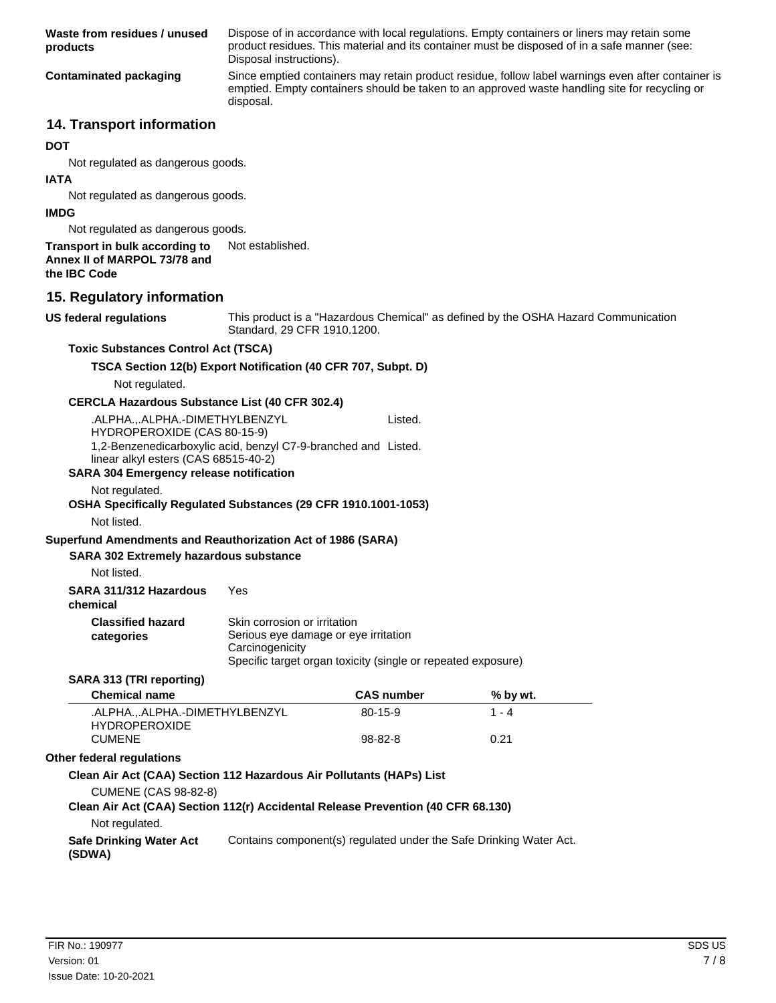Dispose of in accordance with local regulations. Empty containers or liners may retain some product residues. This material and its container must be disposed of in a safe manner (see: Disposal instructions). **Waste from residues / unused products** Since emptied containers may retain product residue, follow label warnings even after container is emptied. Empty containers should be taken to an approved waste handling site for recycling or disposal. **Contaminated packaging**

# **14. Transport information**

#### **DOT**

Not regulated as dangerous goods.

#### **IATA**

Not regulated as dangerous goods.

#### **IMDG**

Not regulated as dangerous goods.

# **Transport in bulk according to** Not established.

**Annex II of MARPOL 73/78 and**

**the IBC Code**

# **15. Regulatory information**

**US federal regulations**

This product is a "Hazardous Chemical" as defined by the OSHA Hazard Communication Standard, 29 CFR 1910.1200.

## **Toxic Substances Control Act (TSCA)**

# **TSCA Section 12(b) Export Notification (40 CFR 707, Subpt. D)**

Not regulated.

## **CERCLA Hazardous Substance List (40 CFR 302.4)**

.ALPHA.,.ALPHA.-DIMETHYLBENZYL HYDROPEROXIDE (CAS 80-15-9) Listed. 1,2-Benzenedicarboxylic acid, benzyl C7-9-branched and Listed. linear alkyl esters (CAS 68515-40-2)

#### **SARA 304 Emergency release notification**

Not regulated.

#### **OSHA Specifically Regulated Substances (29 CFR 1910.1001-1053)** Not listed.

# **Superfund Amendments and Reauthorization Act of 1986 (SARA)**

#### **SARA 302 Extremely hazardous substance**

Not listed.

| SARA 311/312 Hazardous | Yes |
|------------------------|-----|
|------------------------|-----|

# **chemical**

| <b>Classified hazard</b>                                              | Skin corrosion or irritation                                 |
|-----------------------------------------------------------------------|--------------------------------------------------------------|
| Serious eye damage or eye irritation<br>categories<br>Carcinogenicity |                                                              |
|                                                                       | Specific target organ toxicity (single or repeated exposure) |

#### **SARA 313 (TRI reporting)**

| <b>Chemical name</b>                                | <b>CAS number</b> | % by wt.     |  |
|-----------------------------------------------------|-------------------|--------------|--|
| .ALPHAALPHA.-DIMETHYLBENZYL<br><b>HYDROPEROXIDE</b> | $80-15-9$         | 1 - $\Delta$ |  |
| CUMENE                                              | $98-82-8$         | 0.21         |  |

#### **Other federal regulations**

#### **Clean Air Act (CAA) Section 112 Hazardous Air Pollutants (HAPs) List**

CUMENE (CAS 98-82-8)

# **Clean Air Act (CAA) Section 112(r) Accidental Release Prevention (40 CFR 68.130)**

Not regulated.

**Safe Drinking Water Act** Contains component(s) regulated under the Safe Drinking Water Act. **(SDWA)**